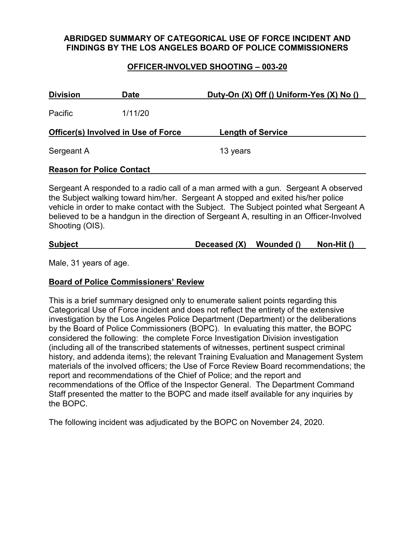## **ABRIDGED SUMMARY OF CATEGORICAL USE OF FORCE INCIDENT AND FINDINGS BY THE LOS ANGELES BOARD OF POLICE COMMISSIONERS**

## **OFFICER-INVOLVED SHOOTING – 003-20**

| <b>Division</b><br><b>Date</b>             |         | Duty-On $(X)$ Off () Uniform-Yes $(X)$ No () |  |
|--------------------------------------------|---------|----------------------------------------------|--|
| Pacific                                    | 1/11/20 |                                              |  |
| <b>Officer(s) Involved in Use of Force</b> |         | <b>Length of Service</b>                     |  |
| Sergeant A                                 |         | 13 years                                     |  |
| <b>Reason for Police Contact</b>           |         |                                              |  |

Sergeant A responded to a radio call of a man armed with a gun. Sergeant A observed the Subject walking toward him/her. Sergeant A stopped and exited his/her police vehicle in order to make contact with the Subject. The Subject pointed what Sergeant A believed to be a handgun in the direction of Sergeant A, resulting in an Officer-Involved Shooting (OIS).

| <b>Subject</b> | Deceased (X) | Wounded () | Non-Hit () |
|----------------|--------------|------------|------------|
|                |              |            |            |

Male, 31 years of age.

### **Board of Police Commissioners' Review**

This is a brief summary designed only to enumerate salient points regarding this Categorical Use of Force incident and does not reflect the entirety of the extensive investigation by the Los Angeles Police Department (Department) or the deliberations by the Board of Police Commissioners (BOPC). In evaluating this matter, the BOPC considered the following: the complete Force Investigation Division investigation (including all of the transcribed statements of witnesses, pertinent suspect criminal history, and addenda items); the relevant Training Evaluation and Management System materials of the involved officers; the Use of Force Review Board recommendations; the report and recommendations of the Chief of Police; and the report and recommendations of the Office of the Inspector General. The Department Command Staff presented the matter to the BOPC and made itself available for any inquiries by the BOPC.

The following incident was adjudicated by the BOPC on November 24, 2020.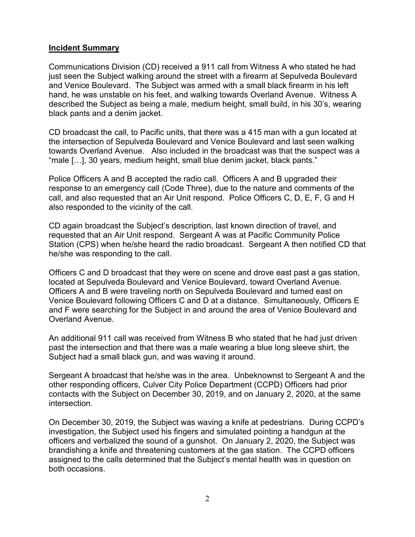### **Incident Summary**

Communications Division (CD) received a 911 call from Witness A who stated he had just seen the Subject walking around the street with a firearm at Sepulveda Boulevard and Venice Boulevard. The Subject was armed with a small black firearm in his left hand, he was unstable on his feet, and walking towards Overland Avenue. Witness A described the Subject as being a male, medium height, small build, in his 30's, wearing black pants and a denim jacket.

CD broadcast the call, to Pacific units, that there was a 415 man with a gun located at the intersection of Sepulveda Boulevard and Venice Boulevard and last seen walking towards Overland Avenue. Also included in the broadcast was that the suspect was a "male […], 30 years, medium height, small blue denim jacket, black pants."

Police Officers A and B accepted the radio call. Officers A and B upgraded their response to an emergency call (Code Three), due to the nature and comments of the call, and also requested that an Air Unit respond. Police Officers C, D, E, F, G and H also responded to the vicinity of the call.

CD again broadcast the Subject's description, last known direction of travel, and requested that an Air Unit respond. Sergeant A was at Pacific Community Police Station (CPS) when he/she heard the radio broadcast. Sergeant A then notified CD that he/she was responding to the call.

Officers C and D broadcast that they were on scene and drove east past a gas station, located at Sepulveda Boulevard and Venice Boulevard, toward Overland Avenue. Officers A and B were traveling north on Sepulveda Boulevard and turned east on Venice Boulevard following Officers C and D at a distance. Simultaneously, Officers E and F were searching for the Subject in and around the area of Venice Boulevard and Overland Avenue.

An additional 911 call was received from Witness B who stated that he had just driven past the intersection and that there was a male wearing a blue long sleeve shirt, the Subject had a small black gun, and was waving it around.

Sergeant A broadcast that he/she was in the area. Unbeknownst to Sergeant A and the other responding officers, Culver City Police Department (CCPD) Officers had prior contacts with the Subject on December 30, 2019, and on January 2, 2020, at the same intersection.

On December 30, 2019, the Subject was waving a knife at pedestrians. During CCPD's investigation, the Subject used his fingers and simulated pointing a handgun at the officers and verbalized the sound of a gunshot. On January 2, 2020, the Subject was brandishing a knife and threatening customers at the gas station. The CCPD officers assigned to the calls determined that the Subject's mental health was in question on both occasions.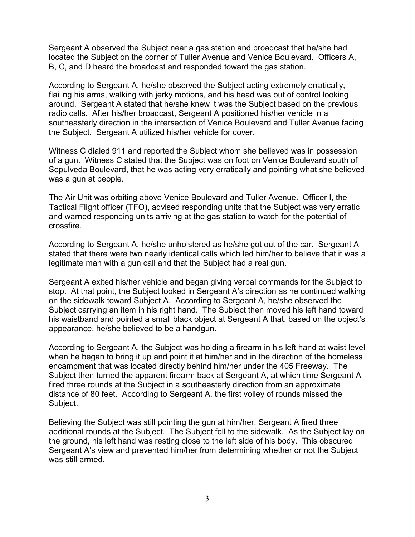Sergeant A observed the Subject near a gas station and broadcast that he/she had located the Subject on the corner of Tuller Avenue and Venice Boulevard. Officers A, B, C, and D heard the broadcast and responded toward the gas station.

According to Sergeant A, he/she observed the Subject acting extremely erratically, flailing his arms, walking with jerky motions, and his head was out of control looking around. Sergeant A stated that he/she knew it was the Subject based on the previous radio calls. After his/her broadcast, Sergeant A positioned his/her vehicle in a southeasterly direction in the intersection of Venice Boulevard and Tuller Avenue facing the Subject. Sergeant A utilized his/her vehicle for cover.

Witness C dialed 911 and reported the Subject whom she believed was in possession of a gun. Witness C stated that the Subject was on foot on Venice Boulevard south of Sepulveda Boulevard, that he was acting very erratically and pointing what she believed was a gun at people.

The Air Unit was orbiting above Venice Boulevard and Tuller Avenue. Officer I, the Tactical Flight officer (TFO), advised responding units that the Subject was very erratic and warned responding units arriving at the gas station to watch for the potential of crossfire.

According to Sergeant A, he/she unholstered as he/she got out of the car. Sergeant A stated that there were two nearly identical calls which led him/her to believe that it was a legitimate man with a gun call and that the Subject had a real gun.

Sergeant A exited his/her vehicle and began giving verbal commands for the Subject to stop. At that point, the Subject looked in Sergeant A's direction as he continued walking on the sidewalk toward Subject A. According to Sergeant A, he/she observed the Subject carrying an item in his right hand. The Subject then moved his left hand toward his waistband and pointed a small black object at Sergeant A that, based on the object's appearance, he/she believed to be a handgun.

According to Sergeant A, the Subject was holding a firearm in his left hand at waist level when he began to bring it up and point it at him/her and in the direction of the homeless encampment that was located directly behind him/her under the 405 Freeway. The Subject then turned the apparent firearm back at Sergeant A, at which time Sergeant A fired three rounds at the Subject in a southeasterly direction from an approximate distance of 80 feet. According to Sergeant A, the first volley of rounds missed the Subject.

Believing the Subject was still pointing the gun at him/her, Sergeant A fired three additional rounds at the Subject. The Subject fell to the sidewalk. As the Subject lay on the ground, his left hand was resting close to the left side of his body. This obscured Sergeant A's view and prevented him/her from determining whether or not the Subject was still armed.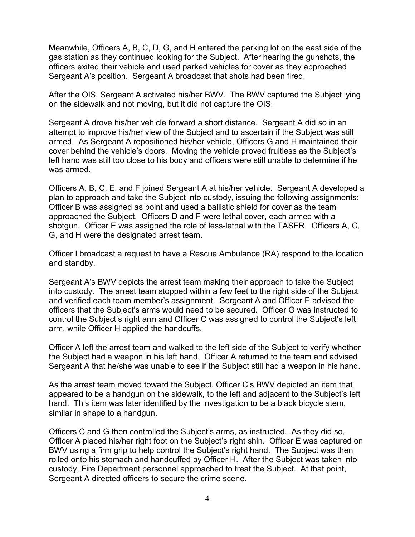Meanwhile, Officers A, B, C, D, G, and H entered the parking lot on the east side of the gas station as they continued looking for the Subject. After hearing the gunshots, the officers exited their vehicle and used parked vehicles for cover as they approached Sergeant A's position. Sergeant A broadcast that shots had been fired.

After the OIS, Sergeant A activated his/her BWV. The BWV captured the Subject lying on the sidewalk and not moving, but it did not capture the OIS.

Sergeant A drove his/her vehicle forward a short distance. Sergeant A did so in an attempt to improve his/her view of the Subject and to ascertain if the Subject was still armed. As Sergeant A repositioned his/her vehicle, Officers G and H maintained their cover behind the vehicle's doors. Moving the vehicle proved fruitless as the Subject's left hand was still too close to his body and officers were still unable to determine if he was armed.

Officers A, B, C, E, and F joined Sergeant A at his/her vehicle. Sergeant A developed a plan to approach and take the Subject into custody, issuing the following assignments: Officer B was assigned as point and used a ballistic shield for cover as the team approached the Subject. Officers D and F were lethal cover, each armed with a shotgun. Officer E was assigned the role of less-lethal with the TASER. Officers A, C, G, and H were the designated arrest team.

Officer I broadcast a request to have a Rescue Ambulance (RA) respond to the location and standby.

Sergeant A's BWV depicts the arrest team making their approach to take the Subject into custody. The arrest team stopped within a few feet to the right side of the Subject and verified each team member's assignment. Sergeant A and Officer E advised the officers that the Subject's arms would need to be secured. Officer G was instructed to control the Subject's right arm and Officer C was assigned to control the Subject's left arm, while Officer H applied the handcuffs.

Officer A left the arrest team and walked to the left side of the Subject to verify whether the Subject had a weapon in his left hand. Officer A returned to the team and advised Sergeant A that he/she was unable to see if the Subject still had a weapon in his hand.

As the arrest team moved toward the Subject, Officer C's BWV depicted an item that appeared to be a handgun on the sidewalk, to the left and adjacent to the Subject's left hand. This item was later identified by the investigation to be a black bicycle stem, similar in shape to a handgun.

Officers C and G then controlled the Subject's arms, as instructed. As they did so, Officer A placed his/her right foot on the Subject's right shin. Officer E was captured on BWV using a firm grip to help control the Subject's right hand. The Subject was then rolled onto his stomach and handcuffed by Officer H. After the Subject was taken into custody, Fire Department personnel approached to treat the Subject. At that point, Sergeant A directed officers to secure the crime scene.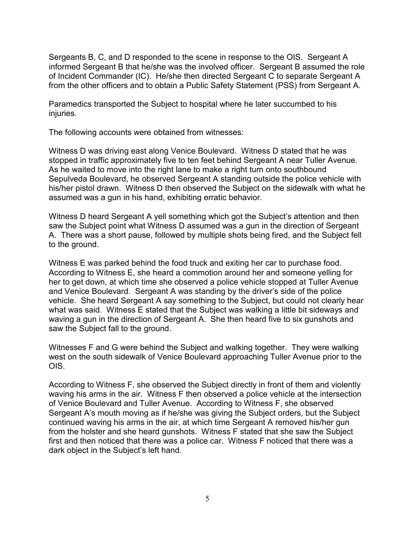Sergeants B, C, and D responded to the scene in response to the OIS. Sergeant A informed Sergeant B that he/she was the involved officer. Sergeant B assumed the role of Incident Commander (IC). He/she then directed Sergeant C to separate Sergeant A from the other officers and to obtain a Public Safety Statement (PSS) from Sergeant A.

Paramedics transported the Subject to hospital where he later succumbed to his injuries.

The following accounts were obtained from witnesses:

Witness D was driving east along Venice Boulevard. Witness D stated that he was stopped in traffic approximately five to ten feet behind Sergeant A near Tuller Avenue. As he waited to move into the right lane to make a right turn onto southbound Sepulveda Boulevard, he observed Sergeant A standing outside the police vehicle with his/her pistol drawn. Witness D then observed the Subject on the sidewalk with what he assumed was a gun in his hand, exhibiting erratic behavior.

Witness D heard Sergeant A yell something which got the Subject's attention and then saw the Subject point what Witness D assumed was a gun in the direction of Sergeant A. There was a short pause, followed by multiple shots being fired, and the Subject fell to the ground.

Witness E was parked behind the food truck and exiting her car to purchase food. According to Witness E, she heard a commotion around her and someone yelling for her to get down, at which time she observed a police vehicle stopped at Tuller Avenue and Venice Boulevard. Sergeant A was standing by the driver's side of the police vehicle. She heard Sergeant A say something to the Subject, but could not clearly hear what was said. Witness E stated that the Subject was walking a little bit sideways and waving a gun in the direction of Sergeant A. She then heard five to six gunshots and saw the Subject fall to the ground.

Witnesses F and G were behind the Subject and walking together. They were walking west on the south sidewalk of Venice Boulevard approaching Tuller Avenue prior to the OIS.

According to Witness F, she observed the Subject directly in front of them and violently waving his arms in the air. Witness F then observed a police vehicle at the intersection of Venice Boulevard and Tuller Avenue. According to Witness F, she observed Sergeant A's mouth moving as if he/she was giving the Subject orders, but the Subject continued waving his arms in the air, at which time Sergeant A removed his/her gun from the holster and she heard gunshots. Witness F stated that she saw the Subject first and then noticed that there was a police car. Witness F noticed that there was a dark object in the Subject's left hand.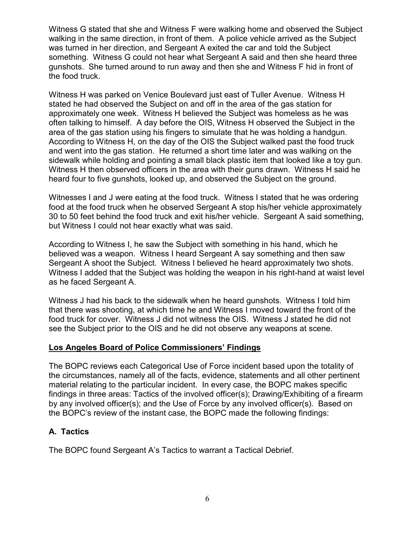Witness G stated that she and Witness F were walking home and observed the Subject walking in the same direction, in front of them. A police vehicle arrived as the Subject was turned in her direction, and Sergeant A exited the car and told the Subject something. Witness G could not hear what Sergeant A said and then she heard three gunshots. She turned around to run away and then she and Witness F hid in front of the food truck.

Witness H was parked on Venice Boulevard just east of Tuller Avenue. Witness H stated he had observed the Subject on and off in the area of the gas station for approximately one week. Witness H believed the Subject was homeless as he was often talking to himself. A day before the OIS, Witness H observed the Subject in the area of the gas station using his fingers to simulate that he was holding a handgun. According to Witness H, on the day of the OIS the Subject walked past the food truck and went into the gas station. He returned a short time later and was walking on the sidewalk while holding and pointing a small black plastic item that looked like a toy gun. Witness H then observed officers in the area with their guns drawn. Witness H said he heard four to five gunshots, looked up, and observed the Subject on the ground.

Witnesses I and J were eating at the food truck. Witness I stated that he was ordering food at the food truck when he observed Sergeant A stop his/her vehicle approximately 30 to 50 feet behind the food truck and exit his/her vehicle. Sergeant A said something, but Witness I could not hear exactly what was said.

According to Witness I, he saw the Subject with something in his hand, which he believed was a weapon. Witness I heard Sergeant A say something and then saw Sergeant A shoot the Subject. Witness I believed he heard approximately two shots. Witness I added that the Subject was holding the weapon in his right-hand at waist level as he faced Sergeant A.

Witness J had his back to the sidewalk when he heard gunshots. Witness I told him that there was shooting, at which time he and Witness I moved toward the front of the food truck for cover. Witness J did not witness the OIS. Witness J stated he did not see the Subject prior to the OIS and he did not observe any weapons at scene.

### **Los Angeles Board of Police Commissioners' Findings**

The BOPC reviews each Categorical Use of Force incident based upon the totality of the circumstances, namely all of the facts, evidence, statements and all other pertinent material relating to the particular incident. In every case, the BOPC makes specific findings in three areas: Tactics of the involved officer(s); Drawing/Exhibiting of a firearm by any involved officer(s); and the Use of Force by any involved officer(s). Based on the BOPC's review of the instant case, the BOPC made the following findings:

## **A. Tactics**

The BOPC found Sergeant A's Tactics to warrant a Tactical Debrief.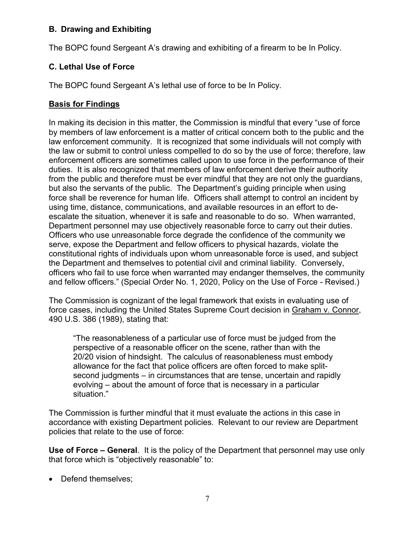## **B. Drawing and Exhibiting**

The BOPC found Sergeant A's drawing and exhibiting of a firearm to be In Policy.

## **C. Lethal Use of Force**

The BOPC found Sergeant A's lethal use of force to be In Policy.

## **Basis for Findings**

In making its decision in this matter, the Commission is mindful that every "use of force by members of law enforcement is a matter of critical concern both to the public and the law enforcement community. It is recognized that some individuals will not comply with the law or submit to control unless compelled to do so by the use of force; therefore, law enforcement officers are sometimes called upon to use force in the performance of their duties. It is also recognized that members of law enforcement derive their authority from the public and therefore must be ever mindful that they are not only the guardians, but also the servants of the public. The Department's guiding principle when using force shall be reverence for human life. Officers shall attempt to control an incident by using time, distance, communications, and available resources in an effort to deescalate the situation, whenever it is safe and reasonable to do so. When warranted, Department personnel may use objectively reasonable force to carry out their duties. Officers who use unreasonable force degrade the confidence of the community we serve, expose the Department and fellow officers to physical hazards, violate the constitutional rights of individuals upon whom unreasonable force is used, and subject the Department and themselves to potential civil and criminal liability. Conversely, officers who fail to use force when warranted may endanger themselves, the community and fellow officers." (Special Order No. 1, 2020, Policy on the Use of Force - Revised.)

The Commission is cognizant of the legal framework that exists in evaluating use of force cases, including the United States Supreme Court decision in Graham v. Connor, 490 U.S. 386 (1989), stating that:

"The reasonableness of a particular use of force must be judged from the perspective of a reasonable officer on the scene, rather than with the 20/20 vision of hindsight. The calculus of reasonableness must embody allowance for the fact that police officers are often forced to make splitsecond judgments – in circumstances that are tense, uncertain and rapidly evolving – about the amount of force that is necessary in a particular situation."

The Commission is further mindful that it must evaluate the actions in this case in accordance with existing Department policies. Relevant to our review are Department policies that relate to the use of force:

**Use of Force – General**. It is the policy of the Department that personnel may use only that force which is "objectively reasonable" to:

• Defend themselves;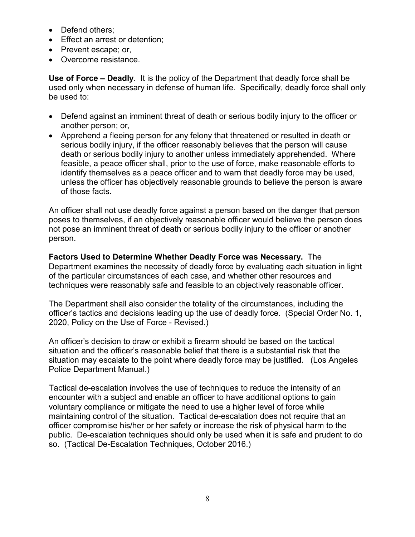- Defend others;
- Effect an arrest or detention;
- Prevent escape; or,
- Overcome resistance.

**Use of Force – Deadly**. It is the policy of the Department that deadly force shall be used only when necessary in defense of human life. Specifically, deadly force shall only be used to:

- Defend against an imminent threat of death or serious bodily injury to the officer or another person; or,
- Apprehend a fleeing person for any felony that threatened or resulted in death or serious bodily injury, if the officer reasonably believes that the person will cause death or serious bodily injury to another unless immediately apprehended. Where feasible, a peace officer shall, prior to the use of force, make reasonable efforts to identify themselves as a peace officer and to warn that deadly force may be used, unless the officer has objectively reasonable grounds to believe the person is aware of those facts.

An officer shall not use deadly force against a person based on the danger that person poses to themselves, if an objectively reasonable officer would believe the person does not pose an imminent threat of death or serious bodily injury to the officer or another person.

**Factors Used to Determine Whether Deadly Force was Necessary.** The Department examines the necessity of deadly force by evaluating each situation in light of the particular circumstances of each case, and whether other resources and techniques were reasonably safe and feasible to an objectively reasonable officer.

The Department shall also consider the totality of the circumstances, including the officer's tactics and decisions leading up the use of deadly force. (Special Order No. 1, 2020, Policy on the Use of Force - Revised.)

An officer's decision to draw or exhibit a firearm should be based on the tactical situation and the officer's reasonable belief that there is a substantial risk that the situation may escalate to the point where deadly force may be justified. (Los Angeles Police Department Manual.)

Tactical de-escalation involves the use of techniques to reduce the intensity of an encounter with a subject and enable an officer to have additional options to gain voluntary compliance or mitigate the need to use a higher level of force while maintaining control of the situation. Tactical de-escalation does not require that an officer compromise his/her or her safety or increase the risk of physical harm to the public. De-escalation techniques should only be used when it is safe and prudent to do so. (Tactical De-Escalation Techniques, October 2016.)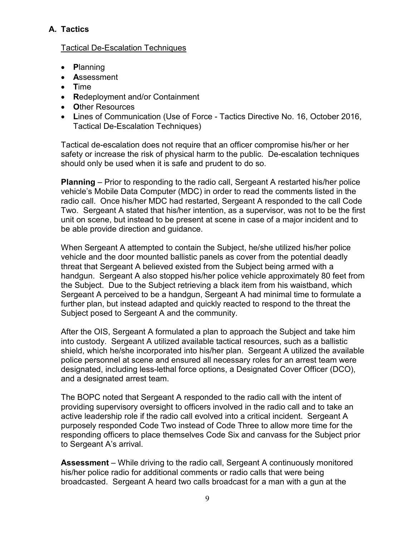# **A. Tactics**

## Tactical De-Escalation Techniques

- **P**lanning
- **A**ssessment
- **T**ime
- **R**edeployment and/or Containment
- **O**ther Resources
- **L**ines of Communication (Use of Force Tactics Directive No. 16, October 2016, Tactical De-Escalation Techniques)

Tactical de-escalation does not require that an officer compromise his/her or her safety or increase the risk of physical harm to the public. De-escalation techniques should only be used when it is safe and prudent to do so.

**Planning** – Prior to responding to the radio call, Sergeant A restarted his/her police vehicle's Mobile Data Computer (MDC) in order to read the comments listed in the radio call. Once his/her MDC had restarted, Sergeant A responded to the call Code Two. Sergeant A stated that his/her intention, as a supervisor, was not to be the first unit on scene, but instead to be present at scene in case of a major incident and to be able provide direction and guidance.

When Sergeant A attempted to contain the Subject, he/she utilized his/her police vehicle and the door mounted ballistic panels as cover from the potential deadly threat that Sergeant A believed existed from the Subject being armed with a handgun. Sergeant A also stopped his/her police vehicle approximately 80 feet from the Subject. Due to the Subject retrieving a black item from his waistband, which Sergeant A perceived to be a handgun, Sergeant A had minimal time to formulate a further plan, but instead adapted and quickly reacted to respond to the threat the Subject posed to Sergeant A and the community.

After the OIS, Sergeant A formulated a plan to approach the Subject and take him into custody. Sergeant A utilized available tactical resources, such as a ballistic shield, which he/she incorporated into his/her plan. Sergeant A utilized the available police personnel at scene and ensured all necessary roles for an arrest team were designated, including less-lethal force options, a Designated Cover Officer (DCO), and a designated arrest team.

The BOPC noted that Sergeant A responded to the radio call with the intent of providing supervisory oversight to officers involved in the radio call and to take an active leadership role if the radio call evolved into a critical incident. Sergeant A purposely responded Code Two instead of Code Three to allow more time for the responding officers to place themselves Code Six and canvass for the Subject prior to Sergeant A's arrival.

**Assessment** – While driving to the radio call, Sergeant A continuously monitored his/her police radio for additional comments or radio calls that were being broadcasted. Sergeant A heard two calls broadcast for a man with a gun at the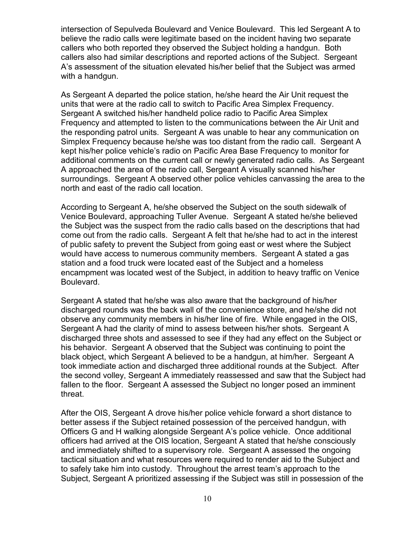intersection of Sepulveda Boulevard and Venice Boulevard. This led Sergeant A to believe the radio calls were legitimate based on the incident having two separate callers who both reported they observed the Subject holding a handgun. Both callers also had similar descriptions and reported actions of the Subject. Sergeant A's assessment of the situation elevated his/her belief that the Subject was armed with a handgun.

As Sergeant A departed the police station, he/she heard the Air Unit request the units that were at the radio call to switch to Pacific Area Simplex Frequency. Sergeant A switched his/her handheld police radio to Pacific Area Simplex Frequency and attempted to listen to the communications between the Air Unit and the responding patrol units. Sergeant A was unable to hear any communication on Simplex Frequency because he/she was too distant from the radio call. Sergeant A kept his/her police vehicle's radio on Pacific Area Base Frequency to monitor for additional comments on the current call or newly generated radio calls. As Sergeant A approached the area of the radio call, Sergeant A visually scanned his/her surroundings. Sergeant A observed other police vehicles canvassing the area to the north and east of the radio call location.

According to Sergeant A, he/she observed the Subject on the south sidewalk of Venice Boulevard, approaching Tuller Avenue. Sergeant A stated he/she believed the Subject was the suspect from the radio calls based on the descriptions that had come out from the radio calls. Sergeant A felt that he/she had to act in the interest of public safety to prevent the Subject from going east or west where the Subject would have access to numerous community members. Sergeant A stated a gas station and a food truck were located east of the Subject and a homeless encampment was located west of the Subject, in addition to heavy traffic on Venice Boulevard.

Sergeant A stated that he/she was also aware that the background of his/her discharged rounds was the back wall of the convenience store, and he/she did not observe any community members in his/her line of fire. While engaged in the OIS, Sergeant A had the clarity of mind to assess between his/her shots. Sergeant A discharged three shots and assessed to see if they had any effect on the Subject or his behavior. Sergeant A observed that the Subject was continuing to point the black object, which Sergeant A believed to be a handgun, at him/her. Sergeant A took immediate action and discharged three additional rounds at the Subject. After the second volley, Sergeant A immediately reassessed and saw that the Subject had fallen to the floor. Sergeant A assessed the Subject no longer posed an imminent threat.

After the OIS, Sergeant A drove his/her police vehicle forward a short distance to better assess if the Subject retained possession of the perceived handgun, with Officers G and H walking alongside Sergeant A's police vehicle. Once additional officers had arrived at the OIS location, Sergeant A stated that he/she consciously and immediately shifted to a supervisory role. Sergeant A assessed the ongoing tactical situation and what resources were required to render aid to the Subject and to safely take him into custody. Throughout the arrest team's approach to the Subject, Sergeant A prioritized assessing if the Subject was still in possession of the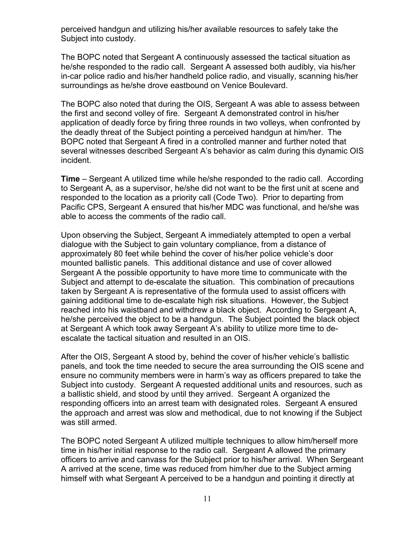perceived handgun and utilizing his/her available resources to safely take the Subject into custody.

The BOPC noted that Sergeant A continuously assessed the tactical situation as he/she responded to the radio call. Sergeant A assessed both audibly, via his/her in-car police radio and his/her handheld police radio, and visually, scanning his/her surroundings as he/she drove eastbound on Venice Boulevard.

The BOPC also noted that during the OIS, Sergeant A was able to assess between the first and second volley of fire. Sergeant A demonstrated control in his/her application of deadly force by firing three rounds in two volleys, when confronted by the deadly threat of the Subject pointing a perceived handgun at him/her. The BOPC noted that Sergeant A fired in a controlled manner and further noted that several witnesses described Sergeant A's behavior as calm during this dynamic OIS incident.

**Time** – Sergeant A utilized time while he/she responded to the radio call. According to Sergeant A, as a supervisor, he/she did not want to be the first unit at scene and responded to the location as a priority call (Code Two). Prior to departing from Pacific CPS, Sergeant A ensured that his/her MDC was functional, and he/she was able to access the comments of the radio call.

Upon observing the Subject, Sergeant A immediately attempted to open a verbal dialogue with the Subject to gain voluntary compliance, from a distance of approximately 80 feet while behind the cover of his/her police vehicle's door mounted ballistic panels. This additional distance and use of cover allowed Sergeant A the possible opportunity to have more time to communicate with the Subject and attempt to de-escalate the situation. This combination of precautions taken by Sergeant A is representative of the formula used to assist officers with gaining additional time to de-escalate high risk situations. However, the Subject reached into his waistband and withdrew a black object. According to Sergeant A, he/she perceived the object to be a handgun. The Subject pointed the black object at Sergeant A which took away Sergeant A's ability to utilize more time to deescalate the tactical situation and resulted in an OIS.

After the OIS, Sergeant A stood by, behind the cover of his/her vehicle's ballistic panels, and took the time needed to secure the area surrounding the OIS scene and ensure no community members were in harm's way as officers prepared to take the Subject into custody. Sergeant A requested additional units and resources, such as a ballistic shield, and stood by until they arrived. Sergeant A organized the responding officers into an arrest team with designated roles. Sergeant A ensured the approach and arrest was slow and methodical, due to not knowing if the Subject was still armed.

The BOPC noted Sergeant A utilized multiple techniques to allow him/herself more time in his/her initial response to the radio call. Sergeant A allowed the primary officers to arrive and canvass for the Subject prior to his/her arrival. When Sergeant A arrived at the scene, time was reduced from him/her due to the Subject arming himself with what Sergeant A perceived to be a handgun and pointing it directly at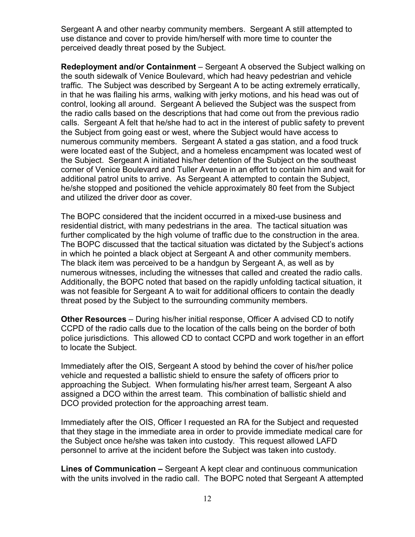Sergeant A and other nearby community members. Sergeant A still attempted to use distance and cover to provide him/herself with more time to counter the perceived deadly threat posed by the Subject.

**Redeployment and/or Containment** – Sergeant A observed the Subject walking on the south sidewalk of Venice Boulevard, which had heavy pedestrian and vehicle traffic. The Subject was described by Sergeant A to be acting extremely erratically, in that he was flailing his arms, walking with jerky motions, and his head was out of control, looking all around. Sergeant A believed the Subject was the suspect from the radio calls based on the descriptions that had come out from the previous radio calls. Sergeant A felt that he/she had to act in the interest of public safety to prevent the Subject from going east or west, where the Subject would have access to numerous community members. Sergeant A stated a gas station, and a food truck were located east of the Subject, and a homeless encampment was located west of the Subject. Sergeant A initiated his/her detention of the Subject on the southeast corner of Venice Boulevard and Tuller Avenue in an effort to contain him and wait for additional patrol units to arrive. As Sergeant A attempted to contain the Subject, he/she stopped and positioned the vehicle approximately 80 feet from the Subject and utilized the driver door as cover.

The BOPC considered that the incident occurred in a mixed-use business and residential district, with many pedestrians in the area. The tactical situation was further complicated by the high volume of traffic due to the construction in the area. The BOPC discussed that the tactical situation was dictated by the Subject's actions in which he pointed a black object at Sergeant A and other community members. The black item was perceived to be a handgun by Sergeant A, as well as by numerous witnesses, including the witnesses that called and created the radio calls. Additionally, the BOPC noted that based on the rapidly unfolding tactical situation, it was not feasible for Sergeant A to wait for additional officers to contain the deadly threat posed by the Subject to the surrounding community members.

**Other Resources** – During his/her initial response, Officer A advised CD to notify CCPD of the radio calls due to the location of the calls being on the border of both police jurisdictions. This allowed CD to contact CCPD and work together in an effort to locate the Subject.

Immediately after the OIS, Sergeant A stood by behind the cover of his/her police vehicle and requested a ballistic shield to ensure the safety of officers prior to approaching the Subject. When formulating his/her arrest team, Sergeant A also assigned a DCO within the arrest team. This combination of ballistic shield and DCO provided protection for the approaching arrest team.

Immediately after the OIS, Officer I requested an RA for the Subject and requested that they stage in the immediate area in order to provide immediate medical care for the Subject once he/she was taken into custody. This request allowed LAFD personnel to arrive at the incident before the Subject was taken into custody.

**Lines of Communication –** Sergeant A kept clear and continuous communication with the units involved in the radio call. The BOPC noted that Sergeant A attempted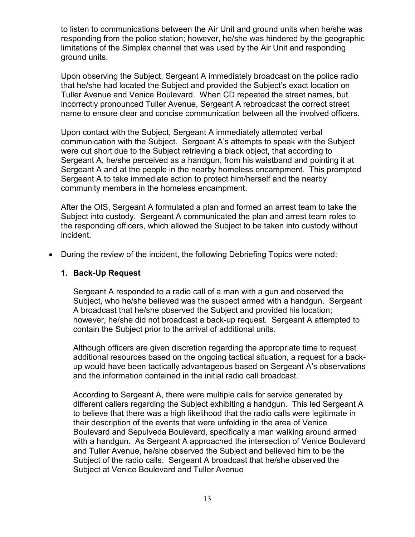to listen to communications between the Air Unit and ground units when he/she was responding from the police station; however, he/she was hindered by the geographic limitations of the Simplex channel that was used by the Air Unit and responding ground units.

Upon observing the Subject, Sergeant A immediately broadcast on the police radio that he/she had located the Subject and provided the Subject's exact location on Tuller Avenue and Venice Boulevard. When CD repeated the street names, but incorrectly pronounced Tuller Avenue, Sergeant A rebroadcast the correct street name to ensure clear and concise communication between all the involved officers.

Upon contact with the Subject, Sergeant A immediately attempted verbal communication with the Subject. Sergeant A's attempts to speak with the Subject were cut short due to the Subject retrieving a black object, that according to Sergeant A, he/she perceived as a handgun, from his waistband and pointing it at Sergeant A and at the people in the nearby homeless encampment. This prompted Sergeant A to take immediate action to protect him/herself and the nearby community members in the homeless encampment.

After the OIS, Sergeant A formulated a plan and formed an arrest team to take the Subject into custody. Sergeant A communicated the plan and arrest team roles to the responding officers, which allowed the Subject to be taken into custody without incident.

• During the review of the incident, the following Debriefing Topics were noted:

### **1. Back-Up Request**

Sergeant A responded to a radio call of a man with a gun and observed the Subject, who he/she believed was the suspect armed with a handgun. Sergeant A broadcast that he/she observed the Subject and provided his location; however, he/she did not broadcast a back-up request. Sergeant A attempted to contain the Subject prior to the arrival of additional units.

Although officers are given discretion regarding the appropriate time to request additional resources based on the ongoing tactical situation, a request for a backup would have been tactically advantageous based on Sergeant A's observations and the information contained in the initial radio call broadcast.

According to Sergeant A, there were multiple calls for service generated by different callers regarding the Subject exhibiting a handgun. This led Sergeant A to believe that there was a high likelihood that the radio calls were legitimate in their description of the events that were unfolding in the area of Venice Boulevard and Sepulveda Boulevard, specifically a man walking around armed with a handgun. As Sergeant A approached the intersection of Venice Boulevard and Tuller Avenue, he/she observed the Subject and believed him to be the Subject of the radio calls. Sergeant A broadcast that he/she observed the Subject at Venice Boulevard and Tuller Avenue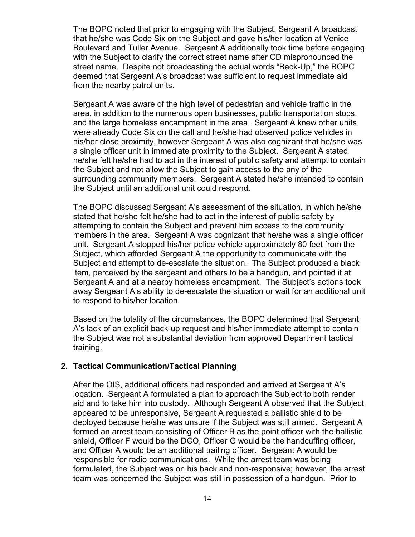The BOPC noted that prior to engaging with the Subject, Sergeant A broadcast that he/she was Code Six on the Subject and gave his/her location at Venice Boulevard and Tuller Avenue. Sergeant A additionally took time before engaging with the Subject to clarify the correct street name after CD mispronounced the street name. Despite not broadcasting the actual words "Back-Up," the BOPC deemed that Sergeant A's broadcast was sufficient to request immediate aid from the nearby patrol units.

Sergeant A was aware of the high level of pedestrian and vehicle traffic in the area, in addition to the numerous open businesses, public transportation stops, and the large homeless encampment in the area. Sergeant A knew other units were already Code Six on the call and he/she had observed police vehicles in his/her close proximity, however Sergeant A was also cognizant that he/she was a single officer unit in immediate proximity to the Subject. Sergeant A stated he/she felt he/she had to act in the interest of public safety and attempt to contain the Subject and not allow the Subject to gain access to the any of the surrounding community members. Sergeant A stated he/she intended to contain the Subject until an additional unit could respond.

The BOPC discussed Sergeant A's assessment of the situation, in which he/she stated that he/she felt he/she had to act in the interest of public safety by attempting to contain the Subject and prevent him access to the community members in the area. Sergeant A was cognizant that he/she was a single officer unit. Sergeant A stopped his/her police vehicle approximately 80 feet from the Subject, which afforded Sergeant A the opportunity to communicate with the Subject and attempt to de-escalate the situation. The Subject produced a black item, perceived by the sergeant and others to be a handgun, and pointed it at Sergeant A and at a nearby homeless encampment. The Subject's actions took away Sergeant A's ability to de-escalate the situation or wait for an additional unit to respond to his/her location.

Based on the totality of the circumstances, the BOPC determined that Sergeant A's lack of an explicit back-up request and his/her immediate attempt to contain the Subject was not a substantial deviation from approved Department tactical training.

#### **2. Tactical Communication/Tactical Planning**

After the OIS, additional officers had responded and arrived at Sergeant A's location. Sergeant A formulated a plan to approach the Subject to both render aid and to take him into custody. Although Sergeant A observed that the Subject appeared to be unresponsive, Sergeant A requested a ballistic shield to be deployed because he/she was unsure if the Subject was still armed. Sergeant A formed an arrest team consisting of Officer B as the point officer with the ballistic shield, Officer F would be the DCO, Officer G would be the handcuffing officer, and Officer A would be an additional trailing officer. Sergeant A would be responsible for radio communications. While the arrest team was being formulated, the Subject was on his back and non-responsive; however, the arrest team was concerned the Subject was still in possession of a handgun. Prior to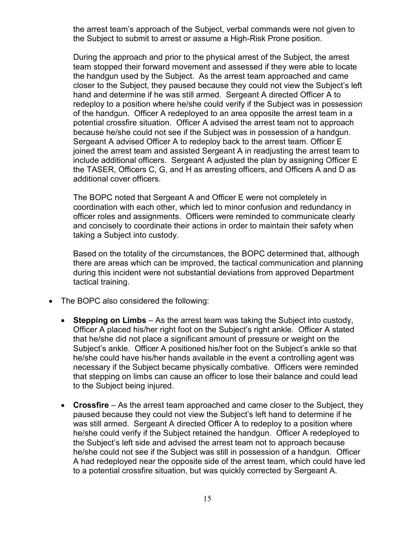the arrest team's approach of the Subject, verbal commands were not given to the Subject to submit to arrest or assume a High-Risk Prone position.

During the approach and prior to the physical arrest of the Subject, the arrest team stopped their forward movement and assessed if they were able to locate the handgun used by the Subject. As the arrest team approached and came closer to the Subject, they paused because they could not view the Subject's left hand and determine if he was still armed. Sergeant A directed Officer A to redeploy to a position where he/she could verify if the Subject was in possession of the handgun. Officer A redeployed to an area opposite the arrest team in a potential crossfire situation. Officer A advised the arrest team not to approach because he/she could not see if the Subject was in possession of a handgun. Sergeant A advised Officer A to redeploy back to the arrest team. Officer E joined the arrest team and assisted Sergeant A in readjusting the arrest team to include additional officers. Sergeant A adjusted the plan by assigning Officer E the TASER, Officers C, G, and H as arresting officers, and Officers A and D as additional cover officers.

The BOPC noted that Sergeant A and Officer E were not completely in coordination with each other, which led to minor confusion and redundancy in officer roles and assignments. Officers were reminded to communicate clearly and concisely to coordinate their actions in order to maintain their safety when taking a Subject into custody.

Based on the totality of the circumstances, the BOPC determined that, although there are areas which can be improved, the tactical communication and planning during this incident were not substantial deviations from approved Department tactical training.

- The BOPC also considered the following:
	- **Stepping on Limbs** As the arrest team was taking the Subject into custody, Officer A placed his/her right foot on the Subject's right ankle. Officer A stated that he/she did not place a significant amount of pressure or weight on the Subject's ankle. Officer A positioned his/her foot on the Subject's ankle so that he/she could have his/her hands available in the event a controlling agent was necessary if the Subject became physically combative. Officers were reminded that stepping on limbs can cause an officer to lose their balance and could lead to the Subject being injured.
	- **Crossfire**  As the arrest team approached and came closer to the Subject, they paused because they could not view the Subject's left hand to determine if he was still armed. Sergeant A directed Officer A to redeploy to a position where he/she could verify if the Subject retained the handgun. Officer A redeployed to the Subject's left side and advised the arrest team not to approach because he/she could not see if the Subject was still in possession of a handgun. Officer A had redeployed near the opposite side of the arrest team, which could have led to a potential crossfire situation, but was quickly corrected by Sergeant A.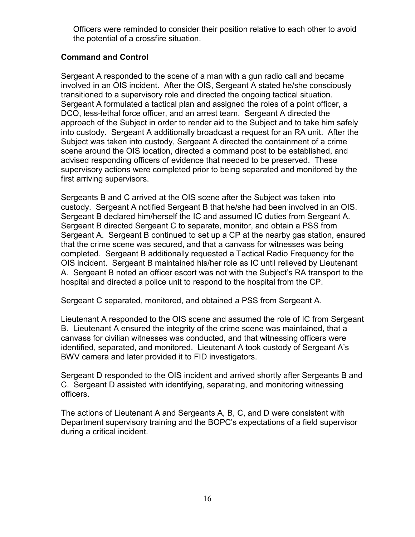Officers were reminded to consider their position relative to each other to avoid the potential of a crossfire situation.

## **Command and Control**

Sergeant A responded to the scene of a man with a gun radio call and became involved in an OIS incident. After the OIS, Sergeant A stated he/she consciously transitioned to a supervisory role and directed the ongoing tactical situation. Sergeant A formulated a tactical plan and assigned the roles of a point officer, a DCO, less-lethal force officer, and an arrest team. Sergeant A directed the approach of the Subject in order to render aid to the Subject and to take him safely into custody. Sergeant A additionally broadcast a request for an RA unit. After the Subject was taken into custody, Sergeant A directed the containment of a crime scene around the OIS location, directed a command post to be established, and advised responding officers of evidence that needed to be preserved. These supervisory actions were completed prior to being separated and monitored by the first arriving supervisors.

Sergeants B and C arrived at the OIS scene after the Subject was taken into custody. Sergeant A notified Sergeant B that he/she had been involved in an OIS. Sergeant B declared him/herself the IC and assumed IC duties from Sergeant A. Sergeant B directed Sergeant C to separate, monitor, and obtain a PSS from Sergeant A. Sergeant B continued to set up a CP at the nearby gas station, ensured that the crime scene was secured, and that a canvass for witnesses was being completed. Sergeant B additionally requested a Tactical Radio Frequency for the OIS incident. Sergeant B maintained his/her role as IC until relieved by Lieutenant A. Sergeant B noted an officer escort was not with the Subject's RA transport to the hospital and directed a police unit to respond to the hospital from the CP.

Sergeant C separated, monitored, and obtained a PSS from Sergeant A.

Lieutenant A responded to the OIS scene and assumed the role of IC from Sergeant B. Lieutenant A ensured the integrity of the crime scene was maintained, that a canvass for civilian witnesses was conducted, and that witnessing officers were identified, separated, and monitored. Lieutenant A took custody of Sergeant A's BWV camera and later provided it to FID investigators.

Sergeant D responded to the OIS incident and arrived shortly after Sergeants B and C. Sergeant D assisted with identifying, separating, and monitoring witnessing officers.

The actions of Lieutenant A and Sergeants A, B, C, and D were consistent with Department supervisory training and the BOPC's expectations of a field supervisor during a critical incident.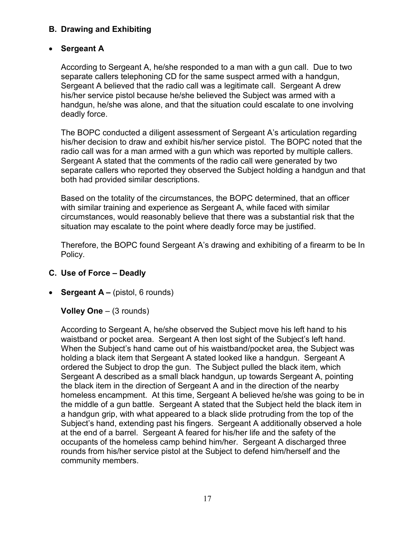## **B. Drawing and Exhibiting**

## • **Sergeant A**

According to Sergeant A, he/she responded to a man with a gun call. Due to two separate callers telephoning CD for the same suspect armed with a handgun, Sergeant A believed that the radio call was a legitimate call. Sergeant A drew his/her service pistol because he/she believed the Subject was armed with a handgun, he/she was alone, and that the situation could escalate to one involving deadly force.

The BOPC conducted a diligent assessment of Sergeant A's articulation regarding his/her decision to draw and exhibit his/her service pistol. The BOPC noted that the radio call was for a man armed with a gun which was reported by multiple callers. Sergeant A stated that the comments of the radio call were generated by two separate callers who reported they observed the Subject holding a handgun and that both had provided similar descriptions.

Based on the totality of the circumstances, the BOPC determined, that an officer with similar training and experience as Sergeant A, while faced with similar circumstances, would reasonably believe that there was a substantial risk that the situation may escalate to the point where deadly force may be justified.

Therefore, the BOPC found Sergeant A's drawing and exhibiting of a firearm to be In Policy.

## **C. Use of Force – Deadly**

• **Sergeant A –** (pistol, 6 rounds)

**Volley One** – (3 rounds)

According to Sergeant A, he/she observed the Subject move his left hand to his waistband or pocket area. Sergeant A then lost sight of the Subject's left hand. When the Subject's hand came out of his waistband/pocket area, the Subject was holding a black item that Sergeant A stated looked like a handgun. Sergeant A ordered the Subject to drop the gun. The Subject pulled the black item, which Sergeant A described as a small black handgun, up towards Sergeant A, pointing the black item in the direction of Sergeant A and in the direction of the nearby homeless encampment. At this time, Sergeant A believed he/she was going to be in the middle of a gun battle. Sergeant A stated that the Subject held the black item in a handgun grip, with what appeared to a black slide protruding from the top of the Subject's hand, extending past his fingers. Sergeant A additionally observed a hole at the end of a barrel. Sergeant A feared for his/her life and the safety of the occupants of the homeless camp behind him/her. Sergeant A discharged three rounds from his/her service pistol at the Subject to defend him/herself and the community members.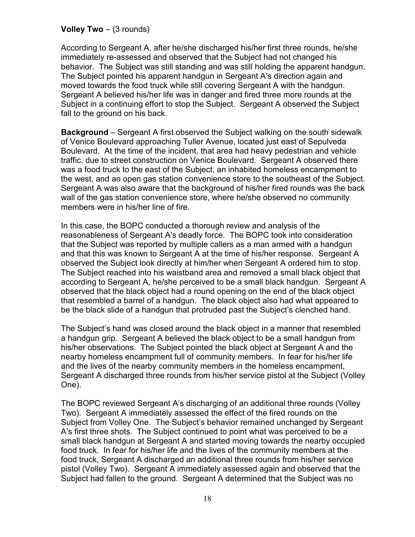### **Volley Two** – (3 rounds)

According to Sergeant A, after he/she discharged his/her first three rounds, he/she immediately re-assessed and observed that the Subject had not changed his behavior. The Subject was still standing and was still holding the apparent handgun. The Subject pointed his apparent handgun in Sergeant A's direction again and moved towards the food truck while still covering Sergeant A with the handgun. Sergeant A believed his/her life was in danger and fired three more rounds at the Subject in a continuing effort to stop the Subject. Sergeant A observed the Subject fall to the ground on his back.

**Background** – Sergeant A first observed the Subject walking on the south sidewalk of Venice Boulevard approaching Tuller Avenue, located just east of Sepulveda Boulevard. At the time of the incident, that area had heavy pedestrian and vehicle traffic, due to street construction on Venice Boulevard. Sergeant A observed there was a food truck to the east of the Subject, an inhabited homeless encampment to the west, and an open gas station convenience store to the southeast of the Subject. Sergeant A was also aware that the background of his/her fired rounds was the back wall of the gas station convenience store, where he/she observed no community members were in his/her line of fire.

In this case, the BOPC conducted a thorough review and analysis of the reasonableness of Sergeant A's deadly force. The BOPC took into consideration that the Subject was reported by multiple callers as a man armed with a handgun and that this was known to Sergeant A at the time of his/her response. Sergeant A observed the Subject look directly at him/her when Sergeant A ordered him to stop. The Subject reached into his waistband area and removed a small black object that according to Sergeant A, he/she perceived to be a small black handgun. Sergeant A observed that the black object had a round opening on the end of the black object that resembled a barrel of a handgun. The black object also had what appeared to be the black slide of a handgun that protruded past the Subject's clenched hand.

The Subject's hand was closed around the black object in a manner that resembled a handgun grip. Sergeant A believed the black object to be a small handgun from his/her observations. The Subject pointed the black object at Sergeant A and the nearby homeless encampment full of community members. In fear for his/her life and the lives of the nearby community members in the homeless encampment, Sergeant A discharged three rounds from his/her service pistol at the Subject (Volley One).

The BOPC reviewed Sergeant A's discharging of an additional three rounds (Volley Two). Sergeant A immediately assessed the effect of the fired rounds on the Subject from Volley One. The Subject's behavior remained unchanged by Sergeant A's first three shots. The Subject continued to point what was perceived to be a small black handgun at Sergeant A and started moving towards the nearby occupied food truck. In fear for his/her life and the lives of the community members at the food truck, Sergeant A discharged an additional three rounds from his/her service pistol (Volley Two). Sergeant A immediately assessed again and observed that the Subject had fallen to the ground. Sergeant A determined that the Subject was no